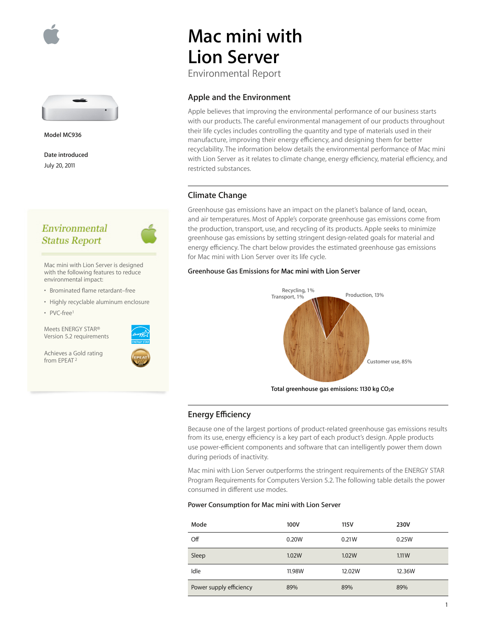



**Model MC936**

**Date introduced** July 20, 2011

## Environmental **Status Report**



Mac mini with Lion Server is designed with the following features to reduce environmental impact:

- Brominated flame retardant–free
- Highly recyclable aluminum enclosure
- PVC-free1

Meets ENERGY STAR® Version 5.2 requirements

Achieves a Gold rating from EPEAT 2



# **Mac mini with Lion Server**

Environmental Report

#### **Apple and the Environment**

Apple believes that improving the environmental performance of our business starts with our products. The careful environmental management of our products throughout their life cycles includes controlling the quantity and type of materials used in their manufacture, improving their energy efficiency, and designing them for better recyclability. The information below details the environmental performance of Mac mini with Lion Server as it relates to climate change, energy efficiency, material efficiency, and restricted substances.

### **Climate Change**

Greenhouse gas emissions have an impact on the planet's balance of land, ocean, and air temperatures. Most of Apple's corporate greenhouse gas emissions come from the production, transport, use, and recycling of its products. Apple seeks to minimize greenhouse gas emissions by setting stringent design-related goals for material and energy efficiency. The chart below provides the estimated greenhouse gas emissions for Mac mini with Lion Server over its life cycle.

#### **Greenhouse Gas Emissions for Mac mini with Lion Server**



Total greenhouse gas emissions: 1130 kg CO<sub>2</sub>e

#### **Energy Efficiency**

Because one of the largest portions of product-related greenhouse gas emissions results from its use, energy efficiency is a key part of each product's design. Apple products use power-efficient components and software that can intelligently power them down during periods of inactivity.

Mac mini with Lion Server outperforms the stringent requirements of the ENERGY STAR Program Requirements for Computers Version 5.2. The following table details the power consumed in different use modes.

#### **Power Consumption for Mac mini with Lion Server**

| Mode                    | 100V   | 115V   | 230V   |
|-------------------------|--------|--------|--------|
| Off                     | 0.20W  | 0.21W  | 0.25W  |
| Sleep                   | 1.02W  | 1.02W  | 1.11W  |
| Idle                    | 11.98W | 12.02W | 12.36W |
| Power supply efficiency | 89%    | 89%    | 89%    |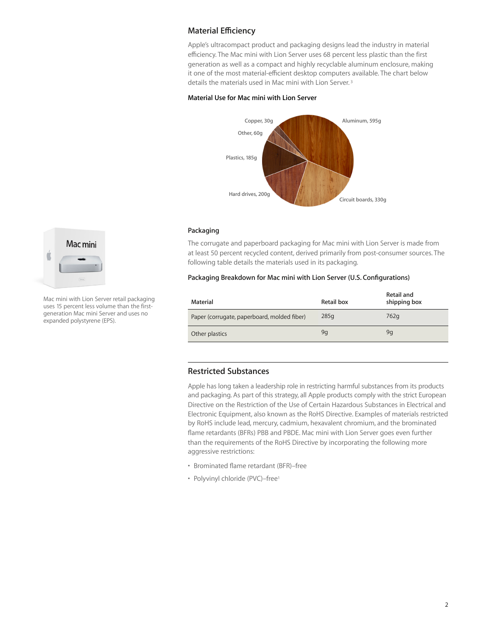## **Material Efficiency**

Apple's ultracompact product and packaging designs lead the industry in material efficiency. The Mac mini with Lion Server uses 68 percent less plastic than the first generation as well as a compact and highly recyclable aluminum enclosure, making it one of the most material-efficient desktop computers available. The chart below details the materials used in Mac mini with Lion Server. 3

#### **Material Use for Mac mini with Lion Server**



#### **Packaging**

The corrugate and paperboard packaging for Mac mini with Lion Server is made from at least 50 percent recycled content, derived primarily from post-consumer sources. The following table details the materials used in its packaging.

#### **Packaging Breakdown for Mac mini with Lion Server (U.S. Configurations)**

| Material                                    | Retail box | Retail and<br>shipping box |
|---------------------------------------------|------------|----------------------------|
| Paper (corrugate, paperboard, molded fiber) | 285q       | 762g                       |
| Other plastics                              | 9q         | 9g                         |

## **Restricted Substances**

Apple has long taken a leadership role in restricting harmful substances from its products and packaging. As part of this strategy, all Apple products comply with the strict European Directive on the Restriction of the Use of Certain Hazardous Substances in Electrical and Electronic Equipment, also known as the RoHS Directive. Examples of materials restricted by RoHS include lead, mercury, cadmium, hexavalent chromium, and the brominated flame retardants (BFRs) PBB and PBDE. Mac mini with Lion Server goes even further than the requirements of the RoHS Directive by incorporating the following more aggressive restrictions:

- Brominated flame retardant (BFR)–free
- Polyvinyl chloride (PVC)–free1



Mac mini with Lion Server retail packaging uses 15 percent less volume than the firstgeneration Mac mini Server and uses no expanded polystyrene (EPS).